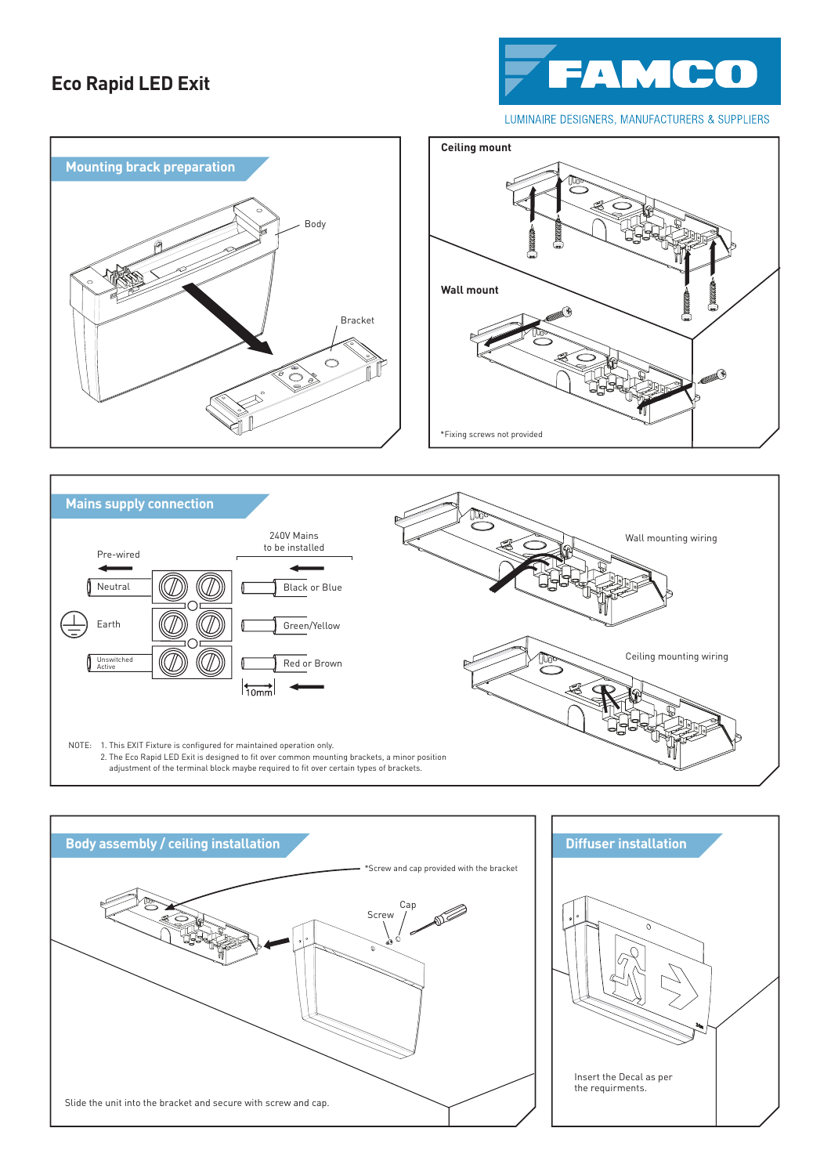# **Eco Rapid LED Exit**

Earth

Unswitched Active



LUMINAIRE DESIGNERS, MANUFACTURERS & SUPPLIERS

Ceiling mounting wiring





NOTE: 1. This EXIT Fixture is configured for maintained operation only. 2. The Eco Rapid LED Exit is designed to fit over common mounting brackets, a minor position adjustment of the terminal block maybe required to fit over certain types of brackets.

 $\parallel$ <sub>10mm</sub>

Green/Yellow

Red or Brown